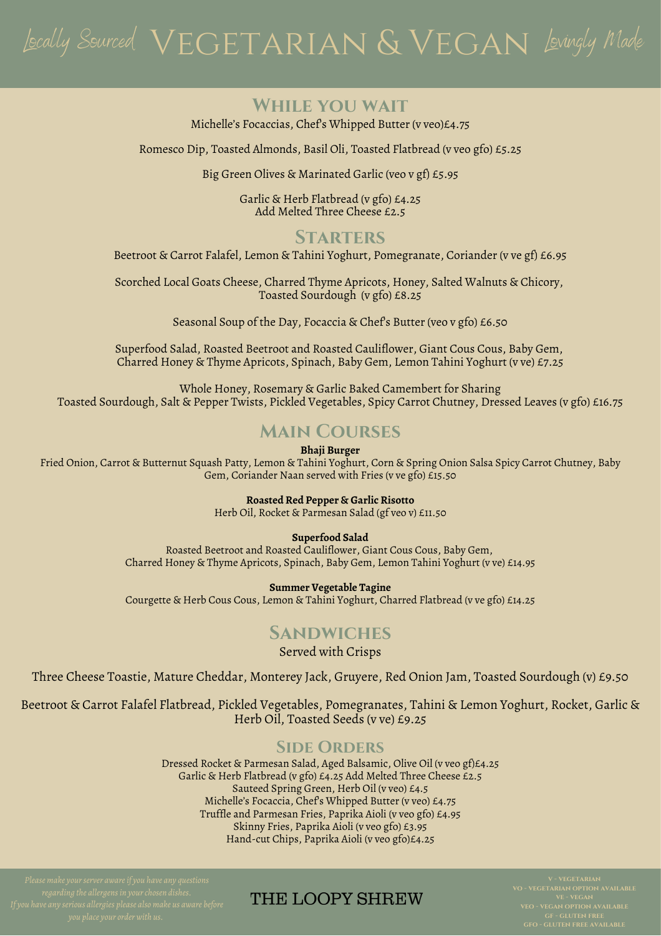# Jocally Sourced  $\sqrt{\textrm{ECTARN}}\ \& \textrm{ VEGAN}$  Lovingly Made

#### **While you wait**

Michelle's Focaccias, Chef's Whipped Butter (v veo)£4.75

Romesco Dip, Toasted Almonds, Basil Oli, Toasted Flatbread (v veo gfo) £5.25

Big Green Olives & Marinated Garlic (veo v gf) £5.95

Garlic & Herb Flatbread (v gfo) £4.25 Add Melted Three Cheese £2.5

### **STARTERS**

Beetroot & Carrot Falafel, Lemon & Tahini Yoghurt, Pomegranate, Coriander (v ve gf) £6.95

Scorched Local Goats Cheese, Charred Thyme Apricots, Honey, Salted Walnuts & Chicory, Toasted Sourdough (v gfo) £8.25

Seasonal Soup of the Day, Focaccia & Chef's Butter (veo v gfo) £6.50

Superfood Salad, Roasted Beetroot and Roasted Cauliflower, Giant Cous Cous, Baby Gem, Charred Honey & Thyme Apricots, Spinach, Baby Gem, Lemon Tahini Yoghurt (v ve) £7.25

Whole Honey, Rosemary & Garlic Baked Camembert for Sharing Toasted Sourdough, Salt & Pepper Twists, Pickled Vegetables, Spicy Carrot Chutney, Dressed Leaves (v gfo) £16.75

# **Main Courses**

**Bhaji Burger**

Fried Onion, Carrot & Butternut Squash Patty, Lemon & Tahini Yoghurt, Corn & Spring Onion Salsa Spicy Carrot Chutney, Baby Gem, Coriander Naan served with Fries (v ve gfo) £15.50

**Roasted Red Pepper & Garlic Risotto**

Herb Oil, Rocket & Parmesan Salad (gf veo v) £11.50

#### **Superfood Salad**

Roasted Beetroot and Roasted Cauliflower, Giant Cous Cous, Baby Gem, Charred Honey & Thyme Apricots, Spinach, Baby Gem, Lemon Tahini Yoghurt (v ve) £14.95

#### **Summer Vegetable Tagine**

Courgette & Herb Cous Cous, Lemon & Tahini Yoghurt, Charred Flatbread (v ve gfo) £14.25

#### **Sandwiches**

Served with Crisps

Three Cheese Toastie, Mature Cheddar, Monterey Jack, Gruyere, Red Onion Jam, Toasted Sourdough (v) £9.50

Beetroot & Carrot Falafel Flatbread, Pickled Vegetables, Pomegranates, Tahini & Lemon Yoghurt, Rocket, Garlic & Herb Oil, Toasted Seeds (v ve) £9.25

#### **Side Orders**

Dressed Rocket & Parmesan Salad, Aged Balsamic, Olive Oil (v veo gf)£4.25 Garlic & Herb Flatbread (v gfo) £4.25 Add Melted Three Cheese £2.5 Sauteed Spring Green, Herb Oil (v veo) £4.5 Michelle's Focaccia, Chef's Whipped Butter (v veo) £4.75 Truffle and Parmesan Fries, Paprika Aioli (v veo gfo) £4.95 Skinny Fries, Paprika Aioli (v veo gfo) £3.95 Hand-cut Chips, Paprika Aioli (v veo gfo)£4.25

## THE LOOPY SHREW

**veo - vegan option available gf - gluten free**